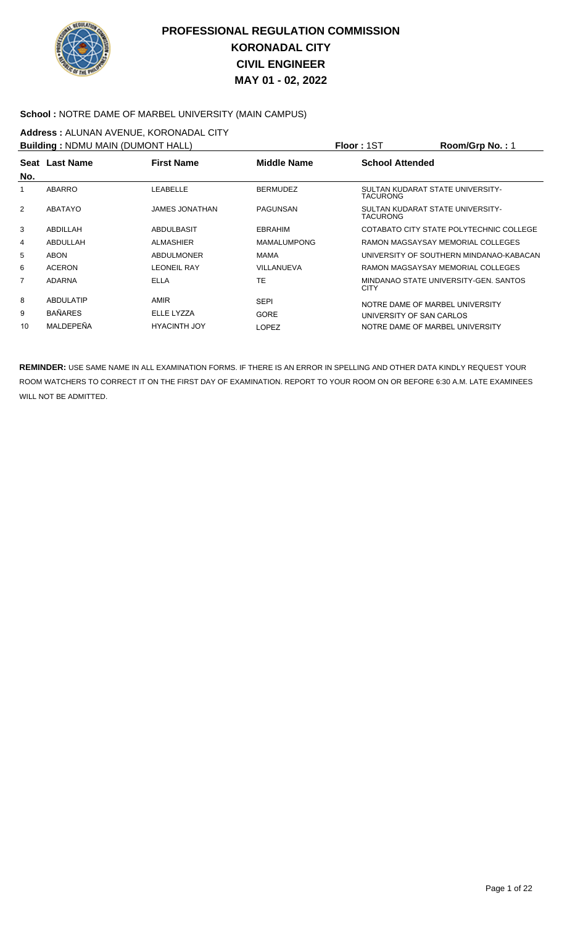

#### School : NOTRE DAME OF MARBEL UNIVERSITY (MAIN CAMPUS)

# **Address :** ALUNAN AVENUE, KORONADAL CITY

| <b>Building: NDMU MAIN (DUMONT HALL)</b> |                  |                       |                    | <b>Floor: 1ST</b>                                   | Room/Grp No.: 1                         |
|------------------------------------------|------------------|-----------------------|--------------------|-----------------------------------------------------|-----------------------------------------|
| No.                                      | Seat Last Name   | <b>First Name</b>     | Middle Name        | <b>School Attended</b>                              |                                         |
| 1                                        | <b>ABARRO</b>    | LEABELLE              | <b>BERMUDEZ</b>    | SULTAN KUDARAT STATE UNIVERSITY-<br><b>TACURONG</b> |                                         |
| 2                                        | ABATAYO          | <b>JAMES JONATHAN</b> | PAGUNSAN           | SULTAN KUDARAT STATE UNIVERSITY-<br><b>TACURONG</b> |                                         |
| 3                                        | ABDILLAH         | ABDULBASIT            | <b>EBRAHIM</b>     |                                                     | COTABATO CITY STATE POLYTECHNIC COLLEGE |
| 4                                        | ABDULLAH         | <b>ALMASHIER</b>      | <b>MAMALUMPONG</b> |                                                     | RAMON MAGSAYSAY MEMORIAL COLLEGES       |
| 5                                        | <b>ABON</b>      | <b>ABDULMONER</b>     | MAMA               |                                                     | UNIVERSITY OF SOUTHERN MINDANAO-KABACAN |
| 6                                        | <b>ACERON</b>    | <b>LEONEIL RAY</b>    | VILLANUEVA         |                                                     | RAMON MAGSAYSAY MEMORIAL COLLEGES       |
| $\overline{7}$                           | <b>ADARNA</b>    | <b>ELLA</b>           | <b>TE</b>          | <b>CITY</b>                                         | MINDANAO STATE UNIVERSITY-GEN. SANTOS   |
| 8                                        | <b>ABDULATIP</b> | AMIR                  | <b>SEPI</b>        | NOTRE DAME OF MARBEL UNIVERSITY                     |                                         |
| 9                                        | <b>BAÑARES</b>   | ELLE LYZZA            | <b>GORE</b>        | UNIVERSITY OF SAN CARLOS                            |                                         |
| 10                                       | MALDEPEÑA        | <b>HYACINTH JOY</b>   | <b>LOPEZ</b>       | NOTRE DAME OF MARBEL UNIVERSITY                     |                                         |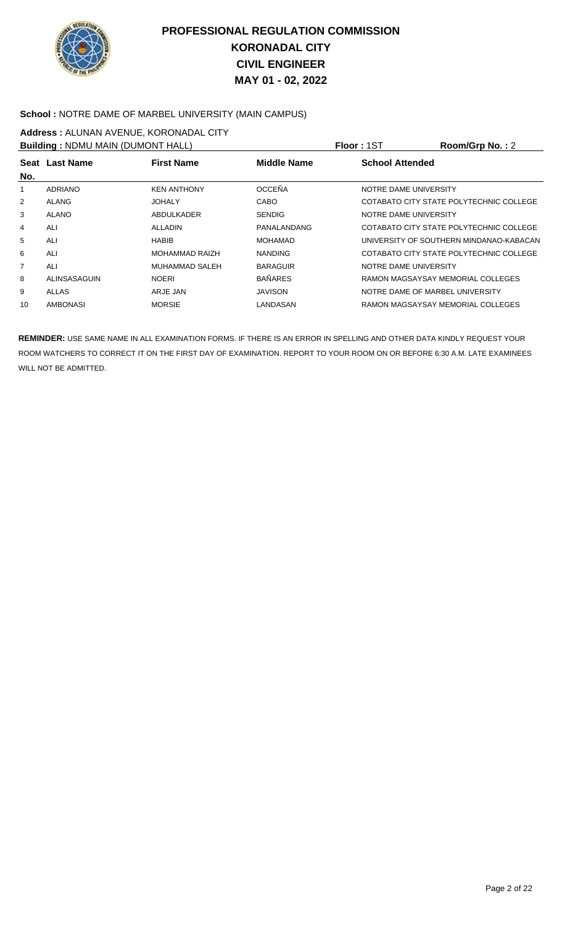

#### **School :** NOTRE DAME OF MARBEL UNIVERSITY (MAIN CAMPUS)

## **Address :** ALUNAN AVENUE, KORONADAL CITY

| <b>Building: NDMU MAIN (DUMONT HALL)</b> |                 |                       |                    | Floor: 1ST                      | Room/Grp No.: 2                         |
|------------------------------------------|-----------------|-----------------------|--------------------|---------------------------------|-----------------------------------------|
| No.                                      | Seat Last Name  | <b>First Name</b>     | <b>Middle Name</b> | <b>School Attended</b>          |                                         |
| 1                                        | ADRIANO         | <b>KEN ANTHONY</b>    | <b>OCCEÑA</b>      | NOTRE DAME UNIVERSITY           |                                         |
| $\overline{2}$                           | <b>ALANG</b>    | <b>JOHALY</b>         | <b>CABO</b>        |                                 | COTABATO CITY STATE POLYTECHNIC COLLEGE |
| 3                                        | <b>ALANO</b>    | ABDULKADER            | <b>SENDIG</b>      | NOTRE DAME UNIVERSITY           |                                         |
| 4                                        | ALI             | <b>ALLADIN</b>        | PANALANDANG        |                                 | COTABATO CITY STATE POLYTECHNIC COLLEGE |
| 5                                        | ALI             | <b>HABIB</b>          | MOHAMAD            |                                 | UNIVERSITY OF SOUTHERN MINDANAO-KABACAN |
| 6                                        | ALI             | <b>MOHAMMAD RAIZH</b> | <b>NANDING</b>     |                                 | COTABATO CITY STATE POLYTECHNIC COLLEGE |
| $\overline{7}$                           | ALI             | <b>MUHAMMAD SALEH</b> | <b>BARAGUIR</b>    | NOTRE DAME UNIVERSITY           |                                         |
| 8                                        | ALINSASAGUIN    | <b>NOERI</b>          | <b>BAÑARES</b>     |                                 | RAMON MAGSAYSAY MEMORIAL COLLEGES       |
| 9                                        | ALLAS           | ARJE JAN              | <b>JAVISON</b>     | NOTRE DAME OF MARBEL UNIVERSITY |                                         |
| 10                                       | <b>AMBONASI</b> | <b>MORSIE</b>         | LANDASAN           |                                 | RAMON MAGSAYSAY MEMORIAL COLLEGES       |
|                                          |                 |                       |                    |                                 |                                         |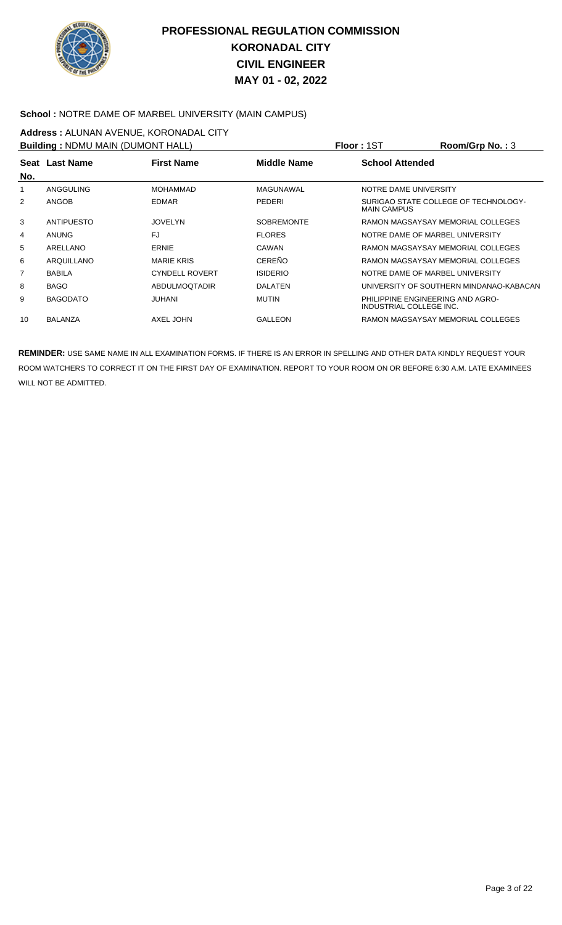

#### **School :** NOTRE DAME OF MARBEL UNIVERSITY (MAIN CAMPUS)

## **Address :** ALUNAN AVENUE, KORONADAL CITY

| <b>Building: NDMU MAIN (DUMONT HALL)</b> |                 |                       |                   | Floor: 1ST                                                  | Room/Grp No.: 3                         |
|------------------------------------------|-----------------|-----------------------|-------------------|-------------------------------------------------------------|-----------------------------------------|
| No.                                      | Seat Last Name  | <b>First Name</b>     | Middle Name       | <b>School Attended</b>                                      |                                         |
|                                          | ANGGULING       | <b>MOHAMMAD</b>       | MAGUNAWAL         | NOTRE DAME UNIVERSITY                                       |                                         |
| 2                                        | <b>ANGOB</b>    | <b>EDMAR</b>          | <b>PEDERI</b>     | <b>MAIN CAMPUS</b>                                          | SURIGAO STATE COLLEGE OF TECHNOLOGY-    |
| 3                                        | ANTIPUESTO      | <b>JOVELYN</b>        | <b>SOBREMONTE</b> |                                                             | RAMON MAGSAYSAY MEMORIAL COLLEGES       |
| 4                                        | <b>ANUNG</b>    | FJ                    | <b>FLORES</b>     | NOTRE DAME OF MARBEL UNIVERSITY                             |                                         |
| 5                                        | ARELLANO        | ERNIE                 | CAWAN             |                                                             | RAMON MAGSAYSAY MEMORIAL COLLEGES       |
| 6                                        | ARQUILLANO      | <b>MARIE KRIS</b>     | CEREÑO            |                                                             | RAMON MAGSAYSAY MEMORIAL COLLEGES       |
| 7                                        | <b>BABILA</b>   | <b>CYNDELL ROVERT</b> | <b>ISIDERIO</b>   | NOTRE DAME OF MARBEL UNIVERSITY                             |                                         |
| 8                                        | <b>BAGO</b>     | <b>ABDULMOOTADIR</b>  | <b>DALATEN</b>    |                                                             | UNIVERSITY OF SOUTHERN MINDANAO-KABACAN |
| 9                                        | <b>BAGODATO</b> | JUHANI                | <b>MUTIN</b>      | PHILIPPINE ENGINEERING AND AGRO-<br>INDUSTRIAL COLLEGE INC. |                                         |
| 10                                       | <b>BALANZA</b>  | AXEL JOHN             | <b>GALLEON</b>    |                                                             | RAMON MAGSAYSAY MEMORIAL COLLEGES       |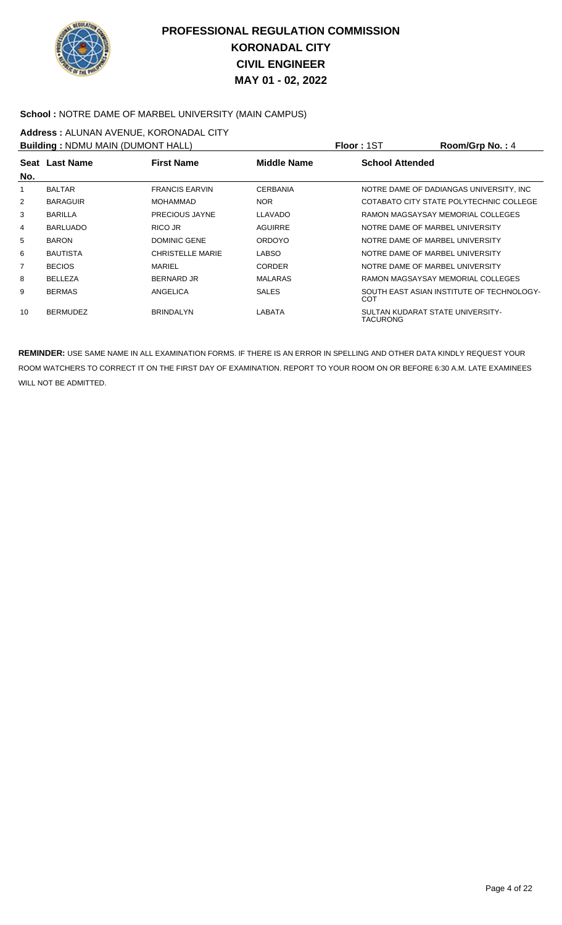

#### **School :** NOTRE DAME OF MARBEL UNIVERSITY (MAIN CAMPUS)

# **Address :** ALUNAN AVENUE, KORONADAL CITY

| <b>Building: NDMU MAIN (DUMONT HALL)</b>                                            |                 |                         |                 | Floor: 1ST | Room/Grp No.: 4                           |
|-------------------------------------------------------------------------------------|-----------------|-------------------------|-----------------|------------|-------------------------------------------|
| <b>Middle Name</b><br><b>First Name</b><br><b>School Attended</b><br>Seat Last Name |                 |                         |                 |            |                                           |
| No.                                                                                 |                 |                         |                 |            |                                           |
| 1                                                                                   | <b>BALTAR</b>   | <b>FRANCIS EARVIN</b>   | <b>CERBANIA</b> |            | NOTRE DAME OF DADIANGAS UNIVERSITY. INC.  |
| 2                                                                                   | <b>BARAGUIR</b> | <b>MOHAMMAD</b>         | <b>NOR</b>      |            | COTABATO CITY STATE POLYTECHNIC COLLEGE   |
| 3                                                                                   | <b>BARILLA</b>  | <b>PRECIOUS JAYNE</b>   | <b>LLAVADO</b>  |            | RAMON MAGSAYSAY MEMORIAL COLLEGES         |
| 4                                                                                   | <b>BARLUADO</b> | RICO JR                 | AGUIRRE         |            | NOTRE DAME OF MARBEL UNIVERSITY           |
| 5                                                                                   | <b>BARON</b>    | <b>DOMINIC GENE</b>     | <b>ORDOYO</b>   |            | NOTRE DAME OF MARBEL UNIVERSITY           |
| 6                                                                                   | <b>BAUTISTA</b> | <b>CHRISTELLE MARIE</b> | <b>LABSO</b>    |            | NOTRE DAME OF MARBEL UNIVERSITY           |
| 7                                                                                   | <b>BECIOS</b>   | MARIEL                  | <b>CORDER</b>   |            | NOTRE DAME OF MARBEL UNIVERSITY           |
| 8                                                                                   | <b>BELLEZA</b>  | BERNARD JR              | <b>MALARAS</b>  |            | RAMON MAGSAYSAY MEMORIAL COLLEGES         |
| 9                                                                                   | <b>BERMAS</b>   | ANGELICA                | <b>SALES</b>    | COT        | SOUTH EAST ASIAN INSTITUTE OF TECHNOLOGY- |
| 10                                                                                  | <b>BERMUDEZ</b> | <b>BRINDALYN</b>        | LABATA          | TACURONG   | SULTAN KUDARAT STATE UNIVERSITY-          |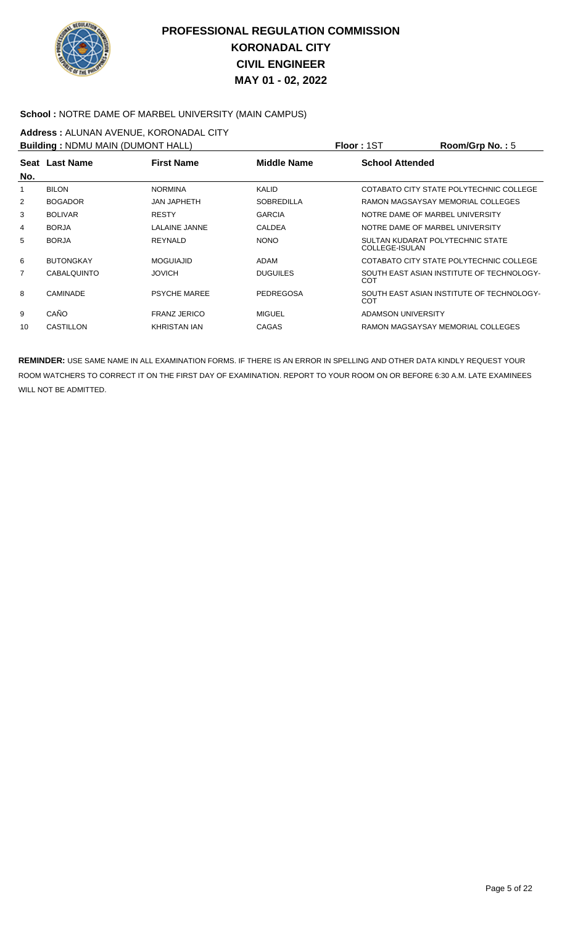

#### **School :** NOTRE DAME OF MARBEL UNIVERSITY (MAIN CAMPUS)

# **Address :** ALUNAN AVENUE, KORONADAL CITY

| <b>Building: NDMU MAIN (DUMONT HALL)</b> |                    |                     |                   | <b>Floor: 1ST</b>                                  | Room/Grp No.: 5                           |
|------------------------------------------|--------------------|---------------------|-------------------|----------------------------------------------------|-------------------------------------------|
| No.                                      | Seat Last Name     | <b>First Name</b>   | Middle Name       | <b>School Attended</b>                             |                                           |
| 1                                        | <b>BILON</b>       | <b>NORMINA</b>      | <b>KALID</b>      |                                                    | COTABATO CITY STATE POLYTECHNIC COLLEGE   |
| 2                                        | <b>BOGADOR</b>     | <b>JAN JAPHETH</b>  | <b>SOBREDILLA</b> |                                                    | RAMON MAGSAYSAY MEMORIAL COLLEGES         |
| 3                                        | <b>BOLIVAR</b>     | <b>RESTY</b>        | <b>GARCIA</b>     | NOTRE DAME OF MARBEL UNIVERSITY                    |                                           |
| 4                                        | <b>BORJA</b>       | LALAINE JANNE       | <b>CALDEA</b>     | NOTRE DAME OF MARBEL UNIVERSITY                    |                                           |
| 5                                        | <b>BORJA</b>       | <b>REYNALD</b>      | <b>NONO</b>       | SULTAN KUDARAT POLYTECHNIC STATE<br>COLLEGE-ISULAN |                                           |
| 6                                        | <b>BUTONGKAY</b>   | <b>MOGUIAJID</b>    | ADAM              |                                                    | COTABATO CITY STATE POLYTECHNIC COLLEGE   |
| $\overline{7}$                           | <b>CABALQUINTO</b> | <b>JOVICH</b>       | <b>DUGUILES</b>   | COT                                                | SOUTH EAST ASIAN INSTITUTE OF TECHNOLOGY- |
| 8                                        | <b>CAMINADE</b>    | <b>PSYCHE MAREE</b> | PEDREGOSA         | COT                                                | SOUTH EAST ASIAN INSTITUTE OF TECHNOLOGY- |
| 9                                        | CAÑO               | <b>FRANZ JERICO</b> | MIGUEL            | ADAMSON UNIVERSITY                                 |                                           |
| 10                                       | CASTILLON          | KHRISTAN IAN        | CAGAS             |                                                    | RAMON MAGSAYSAY MEMORIAL COLLEGES         |
|                                          |                    |                     |                   |                                                    |                                           |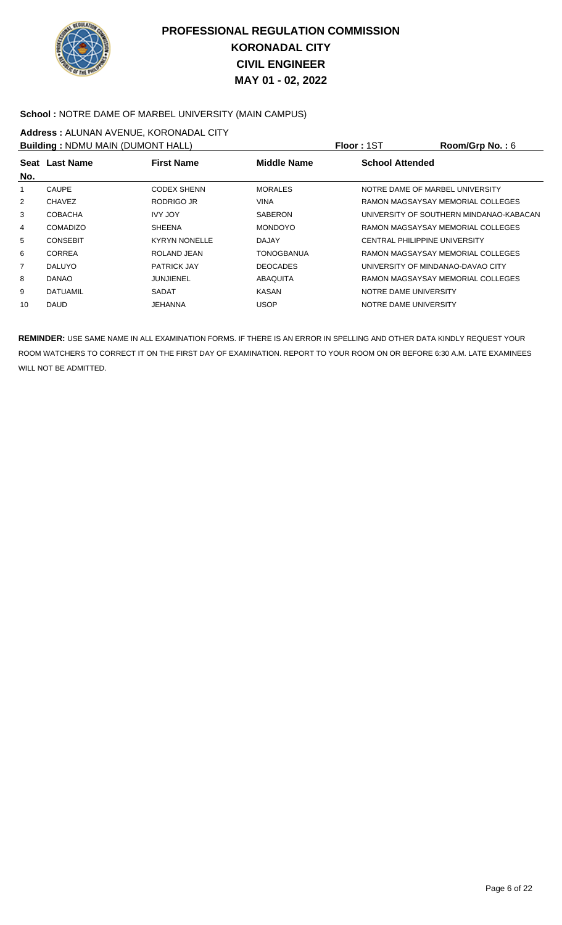

#### **School :** NOTRE DAME OF MARBEL UNIVERSITY (MAIN CAMPUS)

## **Address :** ALUNAN AVENUE, KORONADAL CITY

| <b>Building: NDMU MAIN (DUMONT HALL)</b> |                 |                      |                    | Floor: 1ST                           | Room/Grp No.: $6$                       |  |
|------------------------------------------|-----------------|----------------------|--------------------|--------------------------------------|-----------------------------------------|--|
| <b>First Name</b><br>Seat Last Name      |                 |                      | <b>Middle Name</b> | <b>School Attended</b>               |                                         |  |
| No.                                      |                 |                      |                    |                                      |                                         |  |
| 1                                        | <b>CAUPE</b>    | <b>CODEX SHENN</b>   | <b>MORALES</b>     | NOTRE DAME OF MARBEL UNIVERSITY      |                                         |  |
| $\overline{2}$                           | <b>CHAVEZ</b>   | RODRIGO JR           | <b>VINA</b>        |                                      | RAMON MAGSAYSAY MEMORIAL COLLEGES       |  |
| 3                                        | <b>COBACHA</b>  | <b>IVY JOY</b>       | <b>SABERON</b>     |                                      | UNIVERSITY OF SOUTHERN MINDANAO-KABACAN |  |
| 4                                        | <b>COMADIZO</b> | <b>SHEENA</b>        | <b>MONDOYO</b>     |                                      | RAMON MAGSAYSAY MEMORIAL COLLEGES       |  |
| 5                                        | <b>CONSEBIT</b> | <b>KYRYN NONELLE</b> | DAJAY              | <b>CENTRAL PHILIPPINE UNIVERSITY</b> |                                         |  |
| 6                                        | <b>CORREA</b>   | ROLAND JEAN          | <b>TONOGBANUA</b>  |                                      | RAMON MAGSAYSAY MEMORIAL COLLEGES       |  |
| $\overline{7}$                           | <b>DALUYO</b>   | <b>PATRICK JAY</b>   | <b>DEOCADES</b>    | UNIVERSITY OF MINDANAO-DAVAO CITY    |                                         |  |
| 8                                        | DANAO           | JUNJIENEL            | ABAQUITA           |                                      | RAMON MAGSAYSAY MEMORIAL COLLEGES       |  |
| 9                                        | DATUAMIL        | <b>SADAT</b>         | <b>KASAN</b>       | NOTRE DAME UNIVERSITY                |                                         |  |
| 10                                       | <b>DAUD</b>     | JEHANNA              | <b>USOP</b>        | NOTRE DAME UNIVERSITY                |                                         |  |
|                                          |                 |                      |                    |                                      |                                         |  |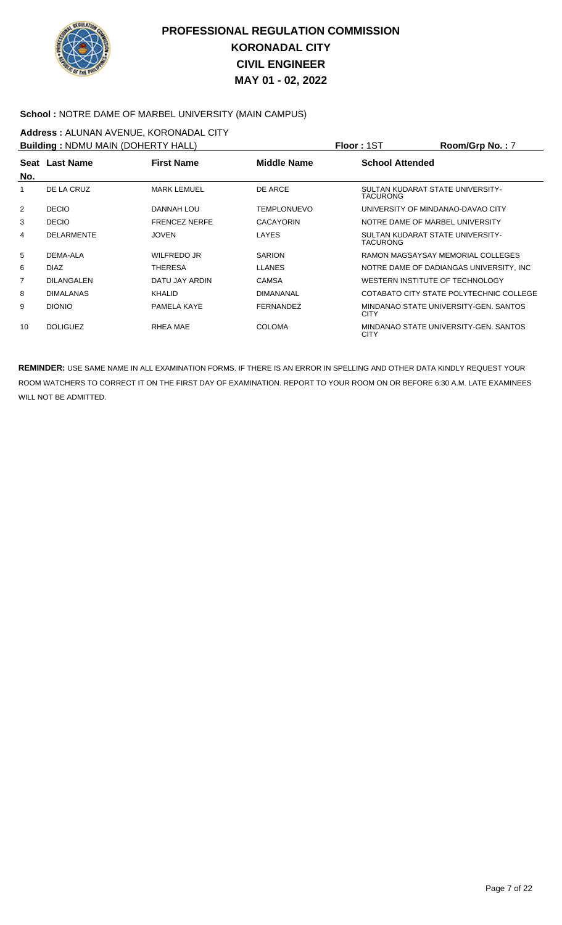

#### **School :** NOTRE DAME OF MARBEL UNIVERSITY (MAIN CAMPUS)

# **Address :** ALUNAN AVENUE, KORONADAL CITY

| <b>Building: NDMU MAIN (DOHERTY HALL)</b> |                   |                      |                    | Floor: 1ST                                          | Room/Grp No.: 7                          |
|-------------------------------------------|-------------------|----------------------|--------------------|-----------------------------------------------------|------------------------------------------|
| No.                                       | Seat Last Name    | <b>First Name</b>    | Middle Name        | <b>School Attended</b>                              |                                          |
| 1                                         | DE LA CRUZ        | <b>MARK LEMUEL</b>   | DE ARCE            | SULTAN KUDARAT STATE UNIVERSITY-<br><b>TACURONG</b> |                                          |
| 2                                         | <b>DECIO</b>      | DANNAH LOU           | <b>TEMPLONUEVO</b> | UNIVERSITY OF MINDANAO-DAVAO CITY                   |                                          |
| 3                                         | <b>DECIO</b>      | <b>FRENCEZ NERFE</b> | <b>CACAYORIN</b>   | NOTRE DAME OF MARBEL UNIVERSITY                     |                                          |
| 4                                         | <b>DELARMENTE</b> | <b>JOVEN</b>         | LAYES              | SULTAN KUDARAT STATE UNIVERSITY-<br><b>TACURONG</b> |                                          |
| 5                                         | DEMA-ALA          | WILFREDO JR          | <b>SARION</b>      |                                                     | RAMON MAGSAYSAY MEMORIAL COLLEGES        |
| 6                                         | <b>DIAZ</b>       | THERESA              | <b>LLANES</b>      |                                                     | NOTRE DAME OF DADIANGAS UNIVERSITY, INC. |
| 7                                         | <b>DILANGALEN</b> | DATU JAY ARDIN       | CAMSA              | WESTERN INSTITUTE OF TECHNOLOGY                     |                                          |
| 8                                         | <b>DIMALANAS</b>  | <b>KHALID</b>        | <b>DIMANANAL</b>   |                                                     | COTABATO CITY STATE POLYTECHNIC COLLEGE  |
| 9                                         | <b>DIONIO</b>     | PAMELA KAYE          | <b>FERNANDEZ</b>   | <b>CITY</b>                                         | MINDANAO STATE UNIVERSITY-GEN, SANTOS    |
| 10                                        | <b>DOLIGUEZ</b>   | RHEA MAE             | <b>COLOMA</b>      | <b>CITY</b>                                         | MINDANAO STATE UNIVERSITY-GEN, SANTOS    |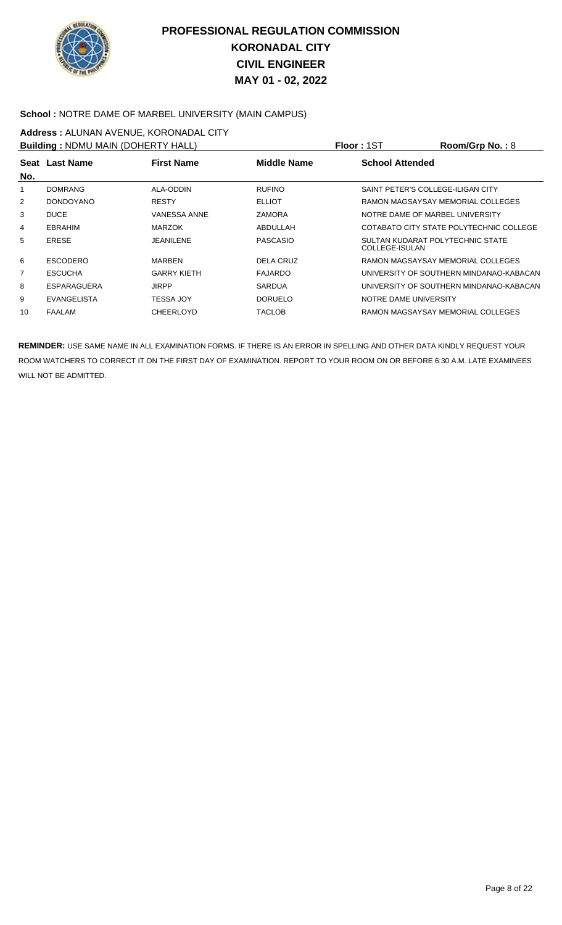

#### **School :** NOTRE DAME OF MARBEL UNIVERSITY (MAIN CAMPUS)

# **Address :** ALUNAN AVENUE, KORONADAL CITY

| <b>Building: NDMU MAIN (DOHERTY HALL)</b>                                           |                    |                     |                 | Floor: 1ST            | Room/Grp No.: $8$                       |
|-------------------------------------------------------------------------------------|--------------------|---------------------|-----------------|-----------------------|-----------------------------------------|
| <b>School Attended</b><br><b>First Name</b><br><b>Middle Name</b><br>Seat Last Name |                    |                     |                 |                       |                                         |
| No.                                                                                 |                    |                     |                 |                       |                                         |
|                                                                                     | <b>DOMRANG</b>     | ALA-ODDIN           | <b>RUFINO</b>   |                       | SAINT PETER'S COLLEGE-ILIGAN CITY       |
| $\overline{2}$                                                                      | <b>DONDOYANO</b>   | <b>RESTY</b>        | <b>ELLIOT</b>   |                       | RAMON MAGSAYSAY MEMORIAL COLLEGES       |
| 3                                                                                   | <b>DUCE</b>        | <b>VANESSA ANNE</b> | <b>ZAMORA</b>   |                       | NOTRE DAME OF MARBEL UNIVERSITY         |
| 4                                                                                   | <b>EBRAHIM</b>     | <b>MARZOK</b>       | ABDULLAH        |                       | COTABATO CITY STATE POLYTECHNIC COLLEGE |
| 5                                                                                   | <b>ERESE</b>       | JEANILENE           | <b>PASCASIO</b> | COLLEGE-ISULAN        | SULTAN KUDARAT POLYTECHNIC STATE        |
| 6                                                                                   | <b>ESCODERO</b>    | <b>MARBEN</b>       | DELA CRUZ       |                       | RAMON MAGSAYSAY MEMORIAL COLLEGES       |
| $\overline{7}$                                                                      | <b>ESCUCHA</b>     | <b>GARRY KIETH</b>  | <b>FAJARDO</b>  |                       | UNIVERSITY OF SOUTHERN MINDANAO-KABACAN |
| 8                                                                                   | ESPARAGUERA        | <b>JIRPP</b>        | <b>SARDUA</b>   |                       | UNIVERSITY OF SOUTHERN MINDANAO-KABACAN |
| 9                                                                                   | <b>EVANGELISTA</b> | <b>TESSA JOY</b>    | <b>DORUELO</b>  | NOTRE DAME UNIVERSITY |                                         |
| 10                                                                                  | FAALAM             | <b>CHEERLOYD</b>    | <b>TACLOB</b>   |                       | RAMON MAGSAYSAY MEMORIAL COLLEGES       |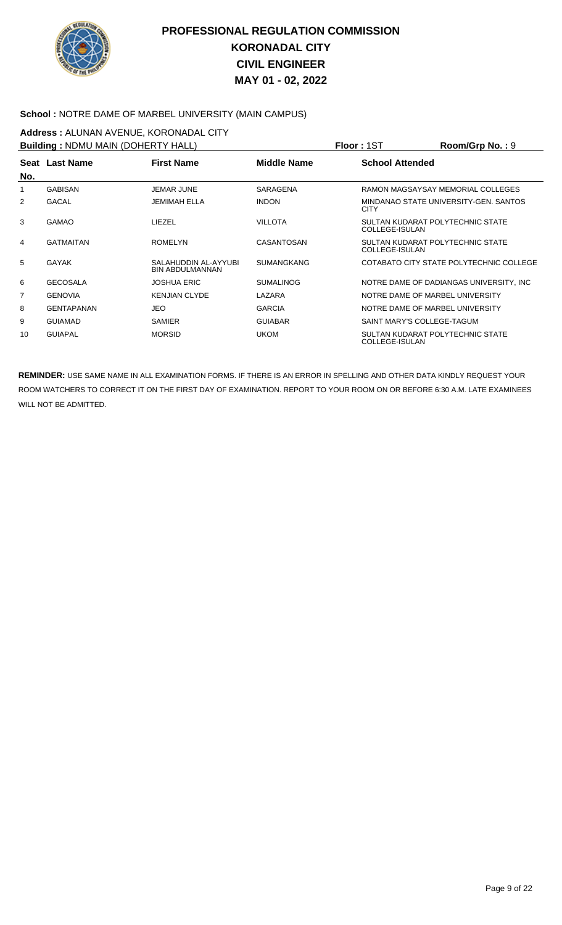

#### School : NOTRE DAME OF MARBEL UNIVERSITY (MAIN CAMPUS)

# **Address :** ALUNAN AVENUE, KORONADAL CITY

| <b>Building: NDMU MAIN (DOHERTY HALL)</b> |                   |                                                |                    | <b>Floor: 1ST</b>                                  | Room/Grp No.: 9                          |
|-------------------------------------------|-------------------|------------------------------------------------|--------------------|----------------------------------------------------|------------------------------------------|
|                                           | Seat Last Name    | <b>First Name</b>                              | <b>Middle Name</b> | <b>School Attended</b>                             |                                          |
| No.                                       |                   |                                                |                    |                                                    |                                          |
| 1                                         | <b>GABISAN</b>    | <b>JEMAR JUNE</b>                              | SARAGENA           |                                                    | RAMON MAGSAYSAY MEMORIAL COLLEGES        |
| 2                                         | GACAL             | <b>JEMIMAH ELLA</b>                            | <b>INDON</b>       | <b>CITY</b>                                        | MINDANAO STATE UNIVERSITY-GEN. SANTOS    |
| 3                                         | <b>GAMAO</b>      | LIEZEL                                         | <b>VILLOTA</b>     | SULTAN KUDARAT POLYTECHNIC STATE<br>COLLEGE-ISULAN |                                          |
| 4                                         | <b>GATMAITAN</b>  | <b>ROMELYN</b>                                 | <b>CASANTOSAN</b>  | SULTAN KUDARAT POLYTECHNIC STATE<br>COLLEGE-ISULAN |                                          |
| 5                                         | GAYAK             | SALAHUDDIN AL-AYYUBI<br><b>BIN ABDULMANNAN</b> | <b>SUMANGKANG</b>  |                                                    | COTABATO CITY STATE POLYTECHNIC COLLEGE  |
| 6                                         | <b>GECOSALA</b>   | <b>JOSHUA ERIC</b>                             | <b>SUMALINOG</b>   |                                                    | NOTRE DAME OF DADIANGAS UNIVERSITY, INC. |
| 7                                         | <b>GENOVIA</b>    | <b>KENJIAN CLYDE</b>                           | LAZARA             | NOTRE DAME OF MARBEL UNIVERSITY                    |                                          |
| 8                                         | <b>GENTAPANAN</b> | <b>JEO</b>                                     | <b>GARCIA</b>      | NOTRE DAME OF MARBEL UNIVERSITY                    |                                          |
| 9                                         | <b>GUIAMAD</b>    | SAMIER                                         | <b>GUIABAR</b>     | SAINT MARY'S COLLEGE-TAGUM                         |                                          |
| 10                                        | <b>GUIAPAL</b>    | <b>MORSID</b>                                  | <b>UKOM</b>        | SULTAN KUDARAT POLYTECHNIC STATE<br>COLLEGE-ISULAN |                                          |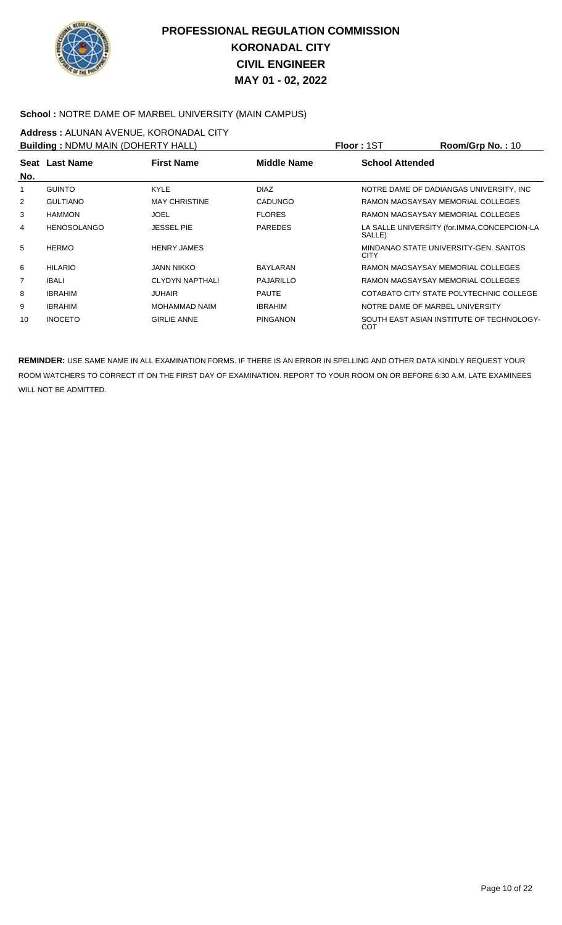

#### **School :** NOTRE DAME OF MARBEL UNIVERSITY (MAIN CAMPUS)

# **Address :** ALUNAN AVENUE, KORONADAL CITY

| <b>Building: NDMU MAIN (DOHERTY HALL)</b> |                    |                        |                 | <b>Floor: 1ST</b>      | Room/Grp No.: 10                            |
|-------------------------------------------|--------------------|------------------------|-----------------|------------------------|---------------------------------------------|
|                                           | Seat Last Name     | <b>First Name</b>      | Middle Name     | <b>School Attended</b> |                                             |
| No.                                       |                    |                        |                 |                        |                                             |
| 1                                         | <b>GUINTO</b>      | <b>KYLE</b>            | <b>DIAZ</b>     |                        | NOTRE DAME OF DADIANGAS UNIVERSITY. INC     |
| 2                                         | <b>GULTIANO</b>    | <b>MAY CHRISTINE</b>   | <b>CADUNGO</b>  |                        | RAMON MAGSAYSAY MEMORIAL COLLEGES           |
| 3                                         | <b>HAMMON</b>      | <b>JOEL</b>            | <b>FLORES</b>   |                        | RAMON MAGSAYSAY MEMORIAL COLLEGES           |
| 4                                         | <b>HENOSOLANGO</b> | <b>JESSEL PIE</b>      | <b>PAREDES</b>  | SALLE)                 | LA SALLE UNIVERSITY (for.IMMA.CONCEPCION-LA |
| 5                                         | <b>HERMO</b>       | <b>HENRY JAMES</b>     |                 | <b>CITY</b>            | MINDANAO STATE UNIVERSITY-GEN. SANTOS       |
| 6                                         | <b>HILARIO</b>     | JANN NIKKO             | BAYLARAN        |                        | RAMON MAGSAYSAY MEMORIAL COLLEGES           |
| 7                                         | <b>IBALI</b>       | <b>CLYDYN NAPTHALI</b> | PAJARILLO       |                        | RAMON MAGSAYSAY MEMORIAL COLLEGES           |
| 8                                         | <b>IBRAHIM</b>     | <b>JUHAIR</b>          | <b>PAUTE</b>    |                        | COTABATO CITY STATE POLYTECHNIC COLLEGE     |
| 9                                         | <b>IBRAHIM</b>     | <b>MOHAMMAD NAIM</b>   | <b>IBRAHIM</b>  |                        | NOTRE DAME OF MARBEL UNIVERSITY             |
| 10                                        | <b>INOCETO</b>     | <b>GIRLIE ANNE</b>     | <b>PINGANON</b> | COT                    | SOUTH EAST ASIAN INSTITUTE OF TECHNOLOGY-   |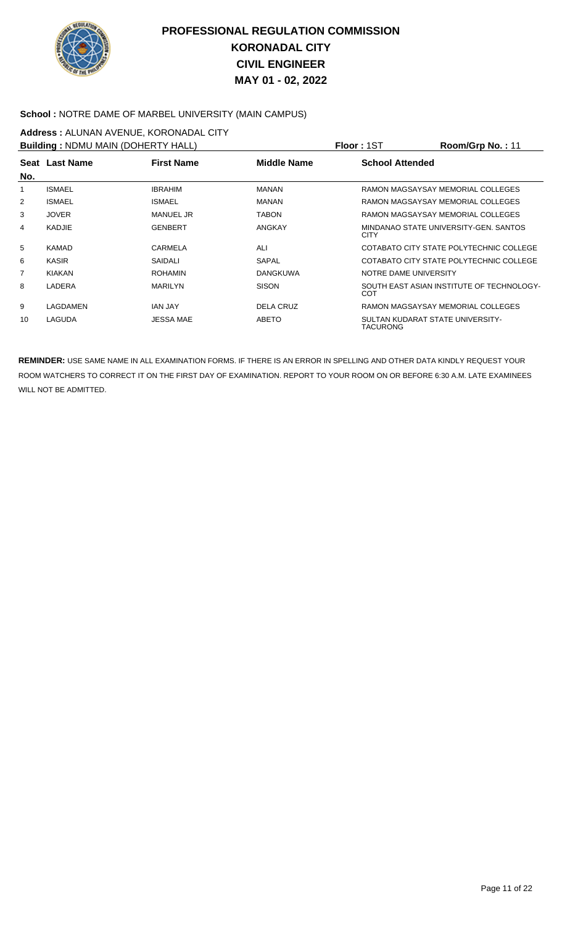

#### **School :** NOTRE DAME OF MARBEL UNIVERSITY (MAIN CAMPUS)

# **Address :** ALUNAN AVENUE, KORONADAL CITY

| <b>Building: NDMU MAIN (DOHERTY HALL)</b>                 |               |                  |                        | <b>Floor: 1ST</b>     | Room/Grp No.: 11                          |
|-----------------------------------------------------------|---------------|------------------|------------------------|-----------------------|-------------------------------------------|
| Seat Last Name<br><b>First Name</b><br><b>Middle Name</b> |               |                  | <b>School Attended</b> |                       |                                           |
| No.                                                       |               |                  |                        |                       |                                           |
| 1                                                         | <b>ISMAEL</b> | <b>IBRAHIM</b>   | <b>MANAN</b>           |                       | RAMON MAGSAYSAY MEMORIAL COLLEGES         |
| 2                                                         | <b>ISMAEL</b> | <b>ISMAEL</b>    | <b>MANAN</b>           |                       | RAMON MAGSAYSAY MEMORIAL COLLEGES         |
| 3                                                         | <b>JOVER</b>  | <b>MANUEL JR</b> | <b>TABON</b>           |                       | RAMON MAGSAYSAY MEMORIAL COLLEGES         |
| 4                                                         | <b>KADJIE</b> | <b>GENBERT</b>   | <b>ANGKAY</b>          | <b>CITY</b>           | MINDANAO STATE UNIVERSITY-GEN. SANTOS     |
| 5                                                         | <b>KAMAD</b>  | CARMELA          | ALI                    |                       | COTABATO CITY STATE POLYTECHNIC COLLEGE   |
| 6                                                         | <b>KASIR</b>  | SAIDALI          | SAPAL                  |                       | COTABATO CITY STATE POLYTECHNIC COLLEGE   |
| $\overline{7}$                                            | <b>KIAKAN</b> | <b>ROHAMIN</b>   | <b>DANGKUWA</b>        | NOTRE DAME UNIVERSITY |                                           |
| 8                                                         | LADERA        | <b>MARILYN</b>   | <b>SISON</b>           | COT                   | SOUTH EAST ASIAN INSTITUTE OF TECHNOLOGY- |
| 9                                                         | LAGDAMEN      | <b>JAN JAY</b>   | DELA CRUZ              |                       | RAMON MAGSAYSAY MEMORIAL COLLEGES         |
| 10                                                        | LAGUDA        | <b>JESSA MAE</b> | <b>ABETO</b>           | TACURONG              | SULTAN KUDARAT STATE UNIVERSITY-          |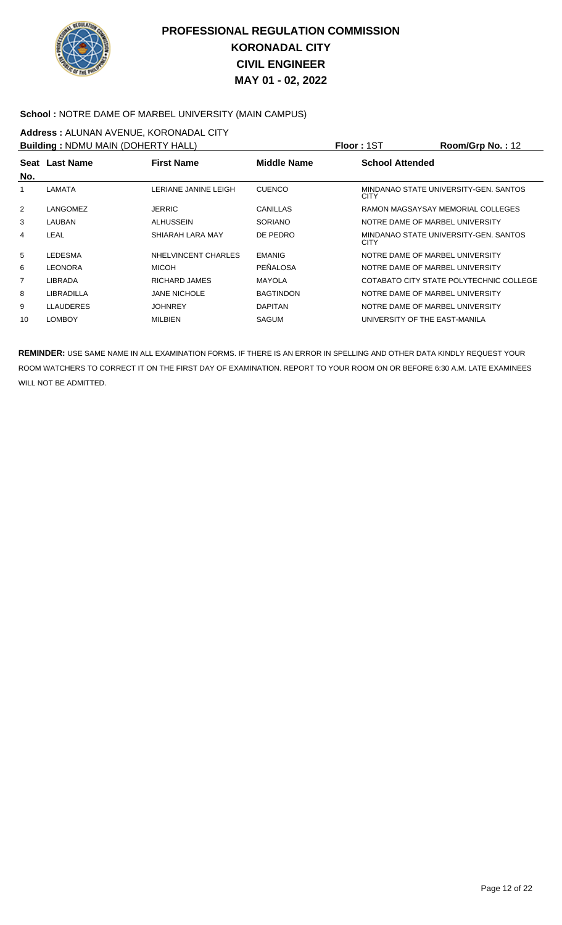

#### **School :** NOTRE DAME OF MARBEL UNIVERSITY (MAIN CAMPUS)

# **Address :** ALUNAN AVENUE, KORONADAL CITY

| <b>Building: NDMU MAIN (DOHERTY HALL)</b> |                  |                      |                  | Floor: 1ST             | Room/Grp No.: 12                        |
|-------------------------------------------|------------------|----------------------|------------------|------------------------|-----------------------------------------|
|                                           | Seat Last Name   | <b>First Name</b>    | Middle Name      | <b>School Attended</b> |                                         |
| No.                                       |                  |                      |                  |                        |                                         |
|                                           | LAMATA           | LERIANE JANINE LEIGH | <b>CUENCO</b>    | <b>CITY</b>            | MINDANAO STATE UNIVERSITY-GEN. SANTOS   |
| $\overline{2}$                            | LANGOMEZ         | <b>JERRIC</b>        | <b>CANILLAS</b>  |                        | RAMON MAGSAYSAY MEMORIAL COLLEGES       |
| 3                                         | LAUBAN           | <b>ALHUSSEIN</b>     | <b>SORIANO</b>   |                        | NOTRE DAME OF MARBEL UNIVERSITY         |
| 4                                         | LEAL             | SHIARAH LARA MAY     | DE PEDRO         | <b>CITY</b>            | MINDANAO STATE UNIVERSITY-GEN, SANTOS   |
| 5                                         | <b>LEDESMA</b>   | NHELVINCENT CHARLES  | <b>EMANIG</b>    |                        | NOTRE DAME OF MARBEL UNIVERSITY         |
| 6                                         | <b>LEONORA</b>   | <b>MICOH</b>         | PEÑALOSA         |                        | NOTRE DAME OF MARBEL UNIVERSITY         |
| $\overline{7}$                            | <b>LIBRADA</b>   | RICHARD JAMES        | <b>MAYOLA</b>    |                        | COTABATO CITY STATE POLYTECHNIC COLLEGE |
| 8                                         | LIBRADILLA       | <b>JANE NICHOLE</b>  | <b>BAGTINDON</b> |                        | NOTRE DAME OF MARBEL UNIVERSITY         |
| 9                                         | <b>LLAUDERES</b> | <b>JOHNREY</b>       | <b>DAPITAN</b>   |                        | NOTRE DAME OF MARBEL UNIVERSITY         |
| 10                                        | <b>LOMBOY</b>    | <b>MILBIEN</b>       | <b>SAGUM</b>     |                        | UNIVERSITY OF THE EAST-MANILA           |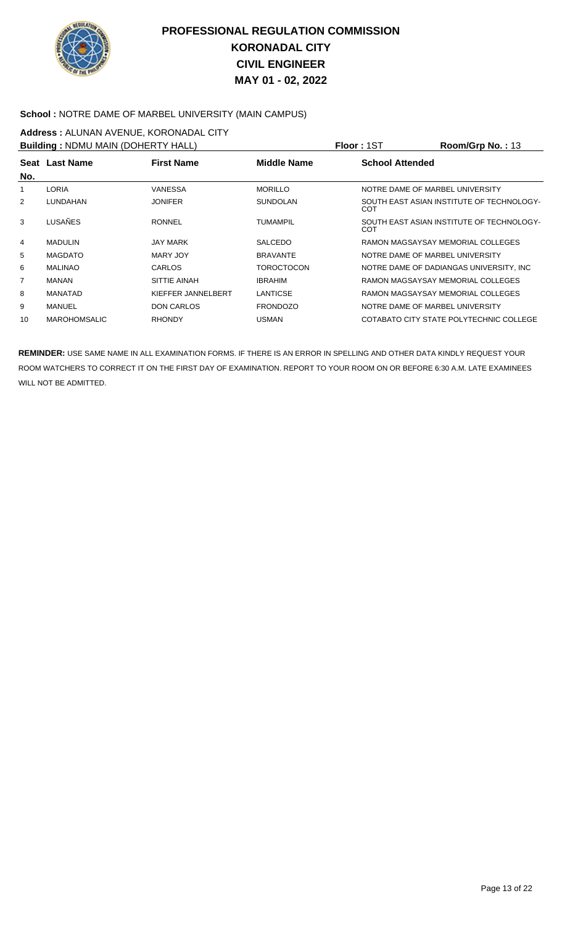

#### **School :** NOTRE DAME OF MARBEL UNIVERSITY (MAIN CAMPUS)

# **Address :** ALUNAN AVENUE, KORONADAL CITY

| <b>Building: NDMU MAIN (DOHERTY HALL)</b> |                     |                    |                    | <b>Floor: 1ST</b>      | Room/Grp No.: 13                          |
|-------------------------------------------|---------------------|--------------------|--------------------|------------------------|-------------------------------------------|
|                                           | Seat Last Name      | <b>First Name</b>  | <b>Middle Name</b> | <b>School Attended</b> |                                           |
| No.                                       |                     |                    |                    |                        |                                           |
|                                           | <b>LORIA</b>        | VANESSA            | <b>MORILLO</b>     |                        | NOTRE DAME OF MARBEL UNIVERSITY           |
| 2                                         | LUNDAHAN            | <b>JONIFER</b>     | <b>SUNDOLAN</b>    | COT                    | SOUTH EAST ASIAN INSTITUTE OF TECHNOLOGY- |
| 3                                         | LUSAÑES             | <b>RONNEL</b>      | <b>TUMAMPIL</b>    | COT                    | SOUTH EAST ASIAN INSTITUTE OF TECHNOLOGY- |
| 4                                         | <b>MADULIN</b>      | JAY MARK           | <b>SALCEDO</b>     |                        | RAMON MAGSAYSAY MEMORIAL COLLEGES         |
| 5                                         | <b>MAGDATO</b>      | MARY JOY           | <b>BRAVANTE</b>    |                        | NOTRE DAME OF MARBEL UNIVERSITY           |
| 6                                         | <b>MALINAO</b>      | <b>CARLOS</b>      | <b>TOROCTOCON</b>  |                        | NOTRE DAME OF DADIANGAS UNIVERSITY, INC.  |
| $\overline{7}$                            | <b>MANAN</b>        | SITTIE AINAH       | <b>IBRAHIM</b>     |                        | RAMON MAGSAYSAY MEMORIAL COLLEGES         |
| 8                                         | <b>MANATAD</b>      | KIEFFER JANNELBERT | LANTICSE           |                        | RAMON MAGSAYSAY MEMORIAL COLLEGES         |
| 9                                         | <b>MANUEL</b>       | DON CARLOS         | <b>FRONDOZO</b>    |                        | NOTRE DAME OF MARBEL UNIVERSITY           |
| 10                                        | <b>MAROHOMSALIC</b> | <b>RHONDY</b>      | <b>USMAN</b>       |                        | COTABATO CITY STATE POLYTECHNIC COLLEGE   |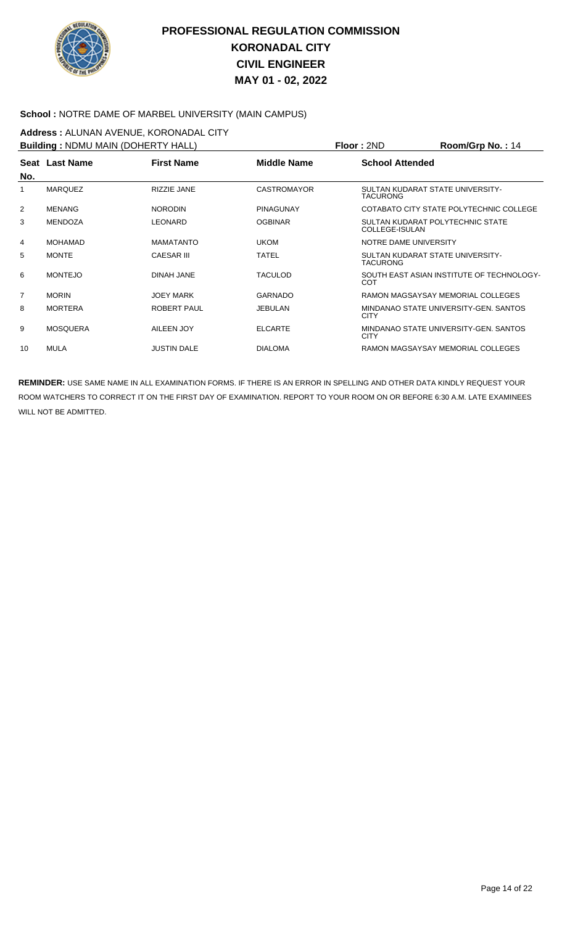

#### **School :** NOTRE DAME OF MARBEL UNIVERSITY (MAIN CAMPUS)

# **Address :** ALUNAN AVENUE, KORONADAL CITY

| <b>Building: NDMU MAIN (DOHERTY HALL)</b> |                 |                    |                    | Floor: 2ND                                          | $Room/Grp$ No.: 14                        |
|-------------------------------------------|-----------------|--------------------|--------------------|-----------------------------------------------------|-------------------------------------------|
| No.                                       | Seat Last Name  | <b>First Name</b>  | Middle Name        | <b>School Attended</b>                              |                                           |
| 1                                         | <b>MARQUEZ</b>  | RIZZIE JANE        | <b>CASTROMAYOR</b> | SULTAN KUDARAT STATE UNIVERSITY-<br><b>TACURONG</b> |                                           |
| 2                                         | <b>MENANG</b>   | <b>NORODIN</b>     | <b>PINAGUNAY</b>   |                                                     | COTABATO CITY STATE POLYTECHNIC COLLEGE   |
| 3                                         | <b>MENDOZA</b>  | LEONARD            | <b>OGBINAR</b>     | SULTAN KUDARAT POLYTECHNIC STATE<br>COLLEGE-ISULAN  |                                           |
| 4                                         | <b>MOHAMAD</b>  | <b>MAMATANTO</b>   | <b>UKOM</b>        | NOTRE DAME UNIVERSITY                               |                                           |
| 5                                         | <b>MONTE</b>    | <b>CAESAR III</b>  | <b>TATEL</b>       | SULTAN KUDARAT STATE UNIVERSITY-<br><b>TACURONG</b> |                                           |
| 6                                         | <b>MONTEJO</b>  | <b>DINAH JANE</b>  | <b>TACULOD</b>     | <b>COT</b>                                          | SOUTH EAST ASIAN INSTITUTE OF TECHNOLOGY- |
| $\overline{7}$                            | <b>MORIN</b>    | <b>JOEY MARK</b>   | <b>GARNADO</b>     |                                                     | RAMON MAGSAYSAY MEMORIAL COLLEGES         |
| 8                                         | <b>MORTERA</b>  | <b>ROBERT PAUL</b> | <b>JEBULAN</b>     | <b>CITY</b>                                         | MINDANAO STATE UNIVERSITY-GEN, SANTOS     |
| 9                                         | <b>MOSQUERA</b> | AILEEN JOY         | <b>ELCARTE</b>     | <b>CITY</b>                                         | MINDANAO STATE UNIVERSITY-GEN, SANTOS     |
| 10                                        | MULA            | <b>JUSTIN DALE</b> | <b>DIALOMA</b>     |                                                     | RAMON MAGSAYSAY MEMORIAL COLLEGES         |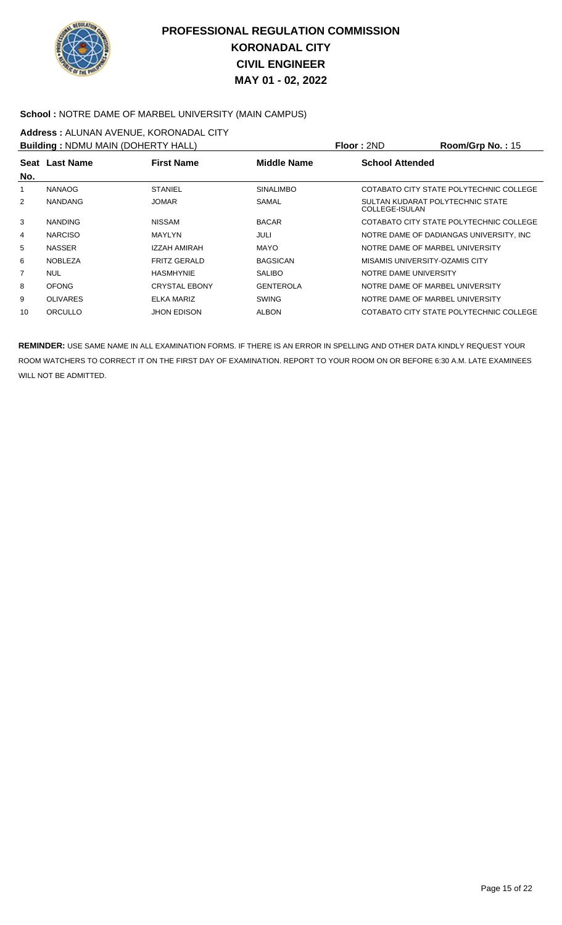

#### **School :** NOTRE DAME OF MARBEL UNIVERSITY (MAIN CAMPUS)

# **Address :** ALUNAN AVENUE, KORONADAL CITY

|                | <b>Building: NDMU MAIN (DOHERTY HALL)</b> |                      |                    | Floor: 2ND                                         | Room/Grp No.: 15                         |
|----------------|-------------------------------------------|----------------------|--------------------|----------------------------------------------------|------------------------------------------|
| No.            | Seat Last Name                            | <b>First Name</b>    | <b>Middle Name</b> | <b>School Attended</b>                             |                                          |
| 1              | <b>NANAOG</b>                             | <b>STANIEL</b>       | <b>SINALIMBO</b>   |                                                    | COTABATO CITY STATE POLYTECHNIC COLLEGE  |
| 2              | <b>NANDANG</b>                            | <b>JOMAR</b>         | SAMAL              | SULTAN KUDARAT POLYTECHNIC STATE<br>COLLEGE-ISULAN |                                          |
| 3              | <b>NANDING</b>                            | <b>NISSAM</b>        | <b>BACAR</b>       |                                                    | COTABATO CITY STATE POLYTECHNIC COLLEGE  |
| 4              | <b>NARCISO</b>                            | <b>MAYLYN</b>        | JULI               |                                                    | NOTRE DAME OF DADIANGAS UNIVERSITY. INC. |
| 5              | <b>NASSER</b>                             | IZZAH AMIRAH         | <b>MAYO</b>        | NOTRE DAME OF MARBEL UNIVERSITY                    |                                          |
| 6              | <b>NOBLEZA</b>                            | <b>FRITZ GERALD</b>  | <b>BAGSICAN</b>    | MISAMIS UNIVERSITY-OZAMIS CITY                     |                                          |
| $\overline{7}$ | <b>NUL</b>                                | <b>HASMHYNIE</b>     | <b>SALIBO</b>      | NOTRE DAME UNIVERSITY                              |                                          |
| 8              | <b>OFONG</b>                              | <b>CRYSTAL EBONY</b> | <b>GENTEROLA</b>   | NOTRE DAME OF MARBEL UNIVERSITY                    |                                          |
| 9              | <b>OLIVARES</b>                           | ELKA MARIZ           | <b>SWING</b>       | NOTRE DAME OF MARBEL UNIVERSITY                    |                                          |
| 10             | ORCULLO                                   | <b>JHON EDISON</b>   | <b>ALBON</b>       |                                                    | COTABATO CITY STATE POLYTECHNIC COLLEGE  |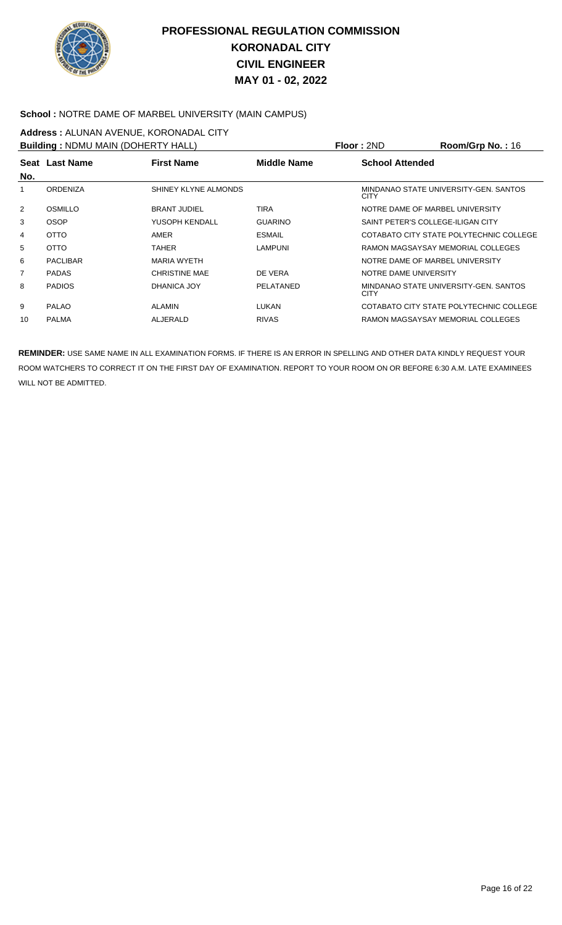

#### **School :** NOTRE DAME OF MARBEL UNIVERSITY (MAIN CAMPUS)

# **Address :** ALUNAN AVENUE, KORONADAL CITY

| <b>Building: NDMU MAIN (DOHERTY HALL)</b> |                 |                      |                | Floor: 2ND             | Room/Grp No.: 16                        |
|-------------------------------------------|-----------------|----------------------|----------------|------------------------|-----------------------------------------|
| No.                                       | Seat Last Name  | <b>First Name</b>    | Middle Name    | <b>School Attended</b> |                                         |
|                                           | <b>ORDENIZA</b> | SHINEY KLYNE ALMONDS |                | <b>CITY</b>            | MINDANAO STATE UNIVERSITY-GEN. SANTOS   |
| 2                                         | OSMILLO         | <b>BRANT JUDIEL</b>  | <b>TIRA</b>    |                        | NOTRE DAME OF MARBEL UNIVERSITY         |
| 3                                         | <b>OSOP</b>     | YUSOPH KENDALL       | <b>GUARINO</b> |                        | SAINT PETER'S COLLEGE-ILIGAN CITY       |
| 4                                         | <b>OTTO</b>     | <b>AMER</b>          | <b>ESMAIL</b>  |                        | COTABATO CITY STATE POLYTECHNIC COLLEGE |
| 5                                         | <b>OTTO</b>     | <b>TAHER</b>         | <b>LAMPUNI</b> |                        | RAMON MAGSAYSAY MEMORIAL COLLEGES       |
| 6                                         | <b>PACLIBAR</b> | <b>MARIA WYETH</b>   |                |                        | NOTRE DAME OF MARBEL UNIVERSITY         |
| 7                                         | <b>PADAS</b>    | <b>CHRISTINE MAE</b> | DE VERA        | NOTRE DAME UNIVERSITY  |                                         |
| 8                                         | <b>PADIOS</b>   | DHANICA JOY          | PELATANED      | <b>CITY</b>            | MINDANAO STATE UNIVERSITY-GEN, SANTOS   |
| 9                                         | <b>PALAO</b>    | <b>ALAMIN</b>        | LUKAN          |                        | COTABATO CITY STATE POLYTECHNIC COLLEGE |
| 10                                        | <b>PALMA</b>    | ALJERALD             | <b>RIVAS</b>   |                        | RAMON MAGSAYSAY MEMORIAL COLLEGES       |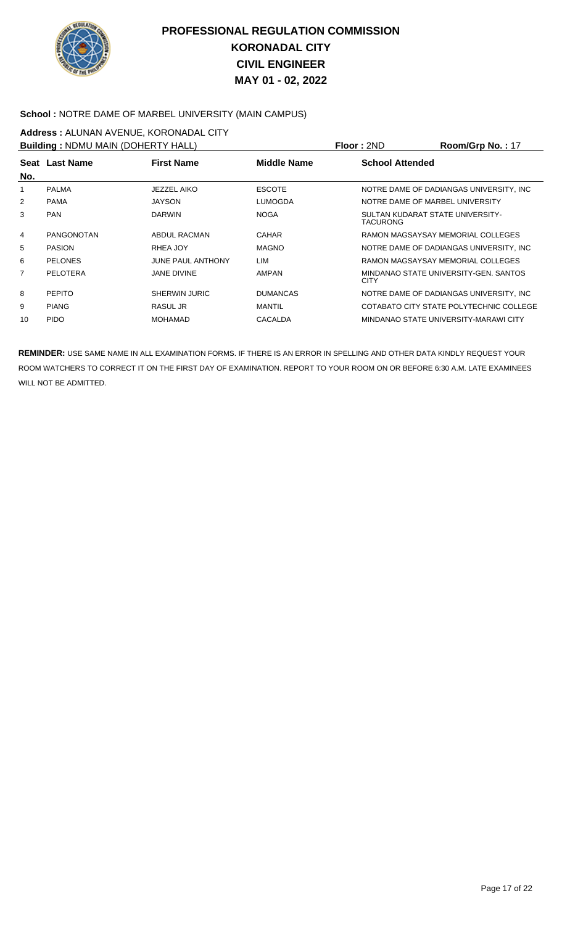

#### **School :** NOTRE DAME OF MARBEL UNIVERSITY (MAIN CAMPUS)

# **Address :** ALUNAN AVENUE, KORONADAL CITY

| <b>Building: NDMU MAIN (DOHERTY HALL)</b> |                   |                          |                 | Floor: 2ND             | Room/Grp No.: 17                         |
|-------------------------------------------|-------------------|--------------------------|-----------------|------------------------|------------------------------------------|
| No.                                       | Seat Last Name    | <b>First Name</b>        | Middle Name     | <b>School Attended</b> |                                          |
|                                           | <b>PALMA</b>      | JEZZEL AIKO              | <b>ESCOTE</b>   |                        | NOTRE DAME OF DADIANGAS UNIVERSITY. INC. |
| 2                                         | <b>PAMA</b>       | <b>JAYSON</b>            | LUMOGDA         |                        | NOTRE DAME OF MARBEL UNIVERSITY          |
| 3                                         | <b>PAN</b>        | <b>DARWIN</b>            | <b>NOGA</b>     | <b>TACURONG</b>        | SULTAN KUDARAT STATE UNIVERSITY-         |
| 4                                         | <b>PANGONOTAN</b> | ABDUL RACMAN             | <b>CAHAR</b>    |                        | RAMON MAGSAYSAY MEMORIAL COLLEGES        |
| 5                                         | <b>PASION</b>     | RHEA JOY                 | <b>MAGNO</b>    |                        | NOTRE DAME OF DADIANGAS UNIVERSITY, INC. |
| 6                                         | <b>PELONES</b>    | <b>JUNE PAUL ANTHONY</b> | LIM             |                        | RAMON MAGSAYSAY MEMORIAL COLLEGES        |
| 7                                         | PELOTERA          | <b>JANE DIVINE</b>       | <b>AMPAN</b>    | <b>CITY</b>            | MINDANAO STATE UNIVERSITY-GEN, SANTOS    |
| 8                                         | <b>PEPITO</b>     | SHERWIN JURIC            | <b>DUMANCAS</b> |                        | NOTRE DAME OF DADIANGAS UNIVERSITY, INC. |
| 9                                         | <b>PIANG</b>      | RASUL JR                 | MANTIL          |                        | COTABATO CITY STATE POLYTECHNIC COLLEGE  |
| 10                                        | <b>PIDO</b>       | <b>MOHAMAD</b>           | <b>CACALDA</b>  |                        | MINDANAO STATE UNIVERSITY-MARAWI CITY    |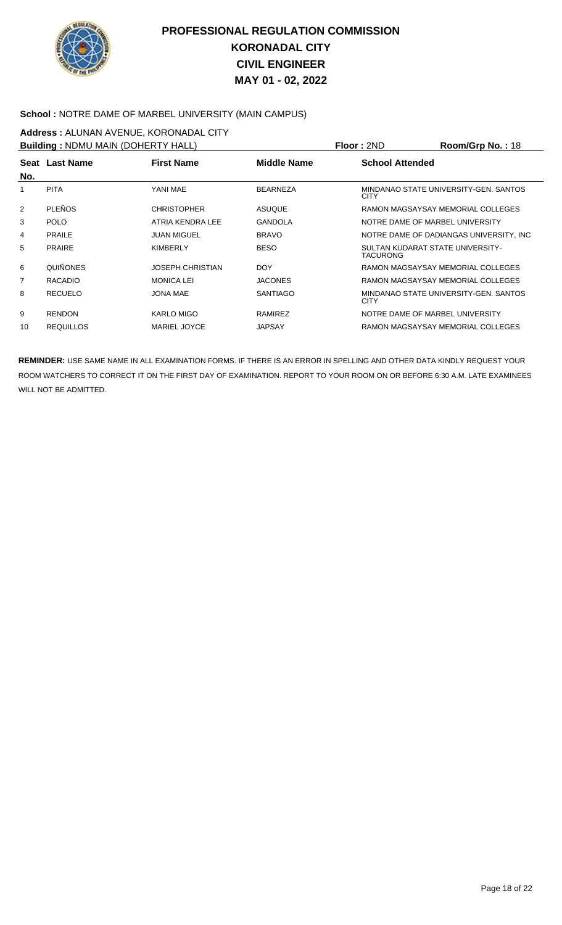

#### **School :** NOTRE DAME OF MARBEL UNIVERSITY (MAIN CAMPUS)

# **Address :** ALUNAN AVENUE, KORONADAL CITY

| <b>Building: NDMU MAIN (DOHERTY HALL)</b> |                  |                         |                    | Floor: 2ND                                   | Room/Grp No.: 18                        |
|-------------------------------------------|------------------|-------------------------|--------------------|----------------------------------------------|-----------------------------------------|
| No.                                       | Seat Last Name   | <b>First Name</b>       | <b>Middle Name</b> | <b>School Attended</b>                       |                                         |
|                                           | <b>PITA</b>      | YANI MAE                | <b>BEARNEZA</b>    | <b>CITY</b>                                  | MINDANAO STATE UNIVERSITY-GEN. SANTOS   |
| 2                                         | <b>PLEÑOS</b>    | <b>CHRISTOPHER</b>      | <b>ASUQUE</b>      |                                              | RAMON MAGSAYSAY MEMORIAL COLLEGES       |
| 3                                         | <b>POLO</b>      | ATRIA KENDRA LEE        | <b>GANDOLA</b>     | NOTRE DAME OF MARBEL UNIVERSITY              |                                         |
| 4                                         | <b>PRAILE</b>    | <b>JUAN MIGUEL</b>      | <b>BRAVO</b>       |                                              | NOTRE DAME OF DADIANGAS UNIVERSITY, INC |
| 5                                         | <b>PRAIRE</b>    | <b>KIMBERLY</b>         | <b>BESO</b>        | SULTAN KUDARAT STATE UNIVERSITY-<br>TACURONG |                                         |
| 6                                         | <b>QUIÑONES</b>  | <b>JOSEPH CHRISTIAN</b> | <b>DOY</b>         |                                              | RAMON MAGSAYSAY MEMORIAL COLLEGES       |
| 7                                         | <b>RACADIO</b>   | <b>MONICA LEI</b>       | <b>JACONES</b>     |                                              | RAMON MAGSAYSAY MEMORIAL COLLEGES       |
| 8                                         | <b>RECUELO</b>   | JONA MAE                | <b>SANTIAGO</b>    | <b>CITY</b>                                  | MINDANAO STATE UNIVERSITY-GEN. SANTOS   |
| 9                                         | <b>RENDON</b>    | KARLO MIGO              | RAMIREZ            | NOTRE DAME OF MARBEL UNIVERSITY              |                                         |
| 10                                        | <b>REQUILLOS</b> | <b>MARIEL JOYCE</b>     | <b>JAPSAY</b>      |                                              | RAMON MAGSAYSAY MEMORIAL COLLEGES       |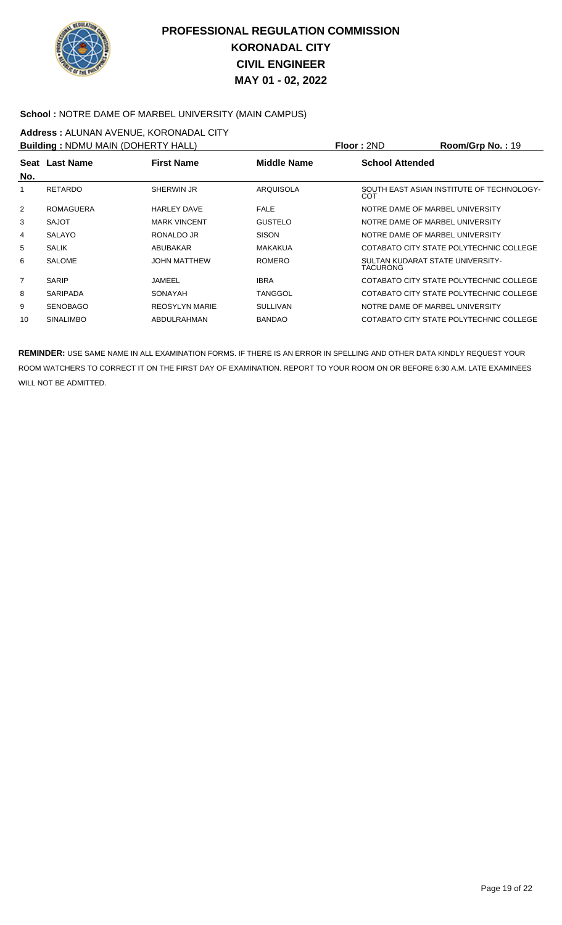

#### **School :** NOTRE DAME OF MARBEL UNIVERSITY (MAIN CAMPUS)

## **Address :** ALUNAN AVENUE, KORONADAL CITY

| <b>Building: NDMU MAIN (DOHERTY HALL)</b> |                  |                       |                    | Floor: 2ND                                   | Room/Grp No.: 19                          |
|-------------------------------------------|------------------|-----------------------|--------------------|----------------------------------------------|-------------------------------------------|
| No.                                       | Seat Last Name   | <b>First Name</b>     | <b>Middle Name</b> | <b>School Attended</b>                       |                                           |
|                                           | RETARDO          | SHERWIN JR            | <b>ARQUISOLA</b>   | COT                                          | SOUTH EAST ASIAN INSTITUTE OF TECHNOLOGY- |
| 2                                         | <b>ROMAGUERA</b> | <b>HARLEY DAVE</b>    | <b>FALE</b>        | NOTRE DAME OF MARBEL UNIVERSITY              |                                           |
| 3                                         | SAJOT            | <b>MARK VINCENT</b>   | <b>GUSTELO</b>     | NOTRE DAME OF MARBEL UNIVERSITY              |                                           |
| 4                                         | <b>SALAYO</b>    | RONALDO JR            | <b>SISON</b>       | NOTRE DAME OF MARBEL UNIVERSITY              |                                           |
| 5                                         | <b>SALIK</b>     | ABUBAKAR              | <b>MAKAKUA</b>     |                                              | COTABATO CITY STATE POLYTECHNIC COLLEGE   |
| 6                                         | <b>SALOME</b>    | <b>JOHN MATTHEW</b>   | <b>ROMERO</b>      | SULTAN KUDARAT STATE UNIVERSITY-<br>TACURONG |                                           |
| 7                                         | <b>SARIP</b>     | JAMEEL                | <b>IBRA</b>        |                                              | COTABATO CITY STATE POLYTECHNIC COLLEGE   |
| 8                                         | <b>SARIPADA</b>  | SONAYAH               | <b>TANGGOL</b>     |                                              | COTABATO CITY STATE POLYTECHNIC COLLEGE   |
| 9                                         | <b>SENOBAGO</b>  | <b>REOSYLYN MARIE</b> | <b>SULLIVAN</b>    | NOTRE DAME OF MARBEL UNIVERSITY              |                                           |
| 10                                        | <b>SINALIMBO</b> | ABDULRAHMAN           | <b>BANDAO</b>      |                                              | COTABATO CITY STATE POLYTECHNIC COLLEGE   |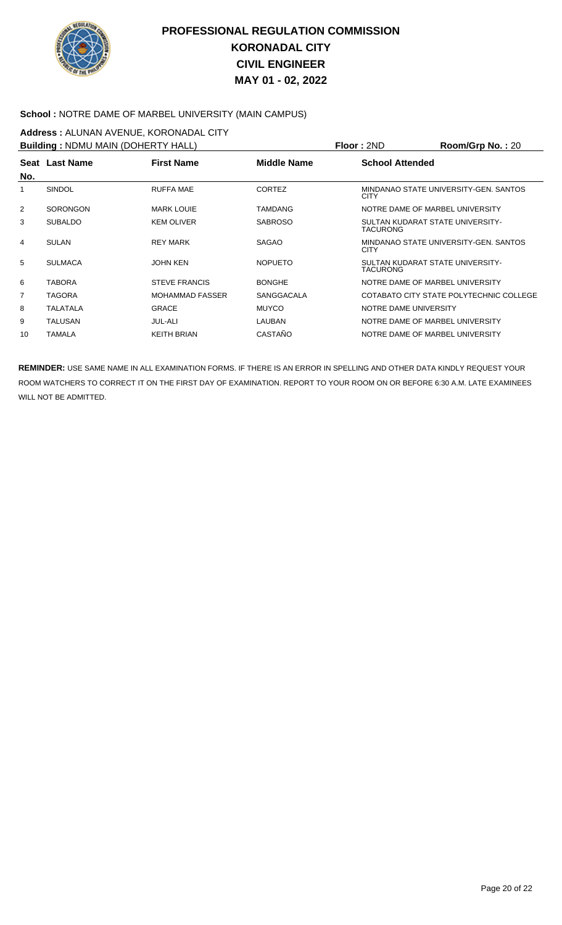

#### **School :** NOTRE DAME OF MARBEL UNIVERSITY (MAIN CAMPUS)

# **Address :** ALUNAN AVENUE, KORONADAL CITY

| <b>Building: NDMU MAIN (DOHERTY HALL)</b> |                 |                        |                    | Floor: 2ND                                   | Room/Grp No.: 20                        |
|-------------------------------------------|-----------------|------------------------|--------------------|----------------------------------------------|-----------------------------------------|
| No.                                       | Seat Last Name  | <b>First Name</b>      | <b>Middle Name</b> | <b>School Attended</b>                       |                                         |
| 1                                         | SINDOL          | <b>RUFFA MAE</b>       | <b>CORTEZ</b>      | <b>CITY</b>                                  | MINDANAO STATE UNIVERSITY-GEN. SANTOS   |
| 2                                         | <b>SORONGON</b> | <b>MARK LOUIE</b>      | <b>TAMDANG</b>     | NOTRE DAME OF MARBEL UNIVERSITY              |                                         |
| 3                                         | <b>SUBALDO</b>  | <b>KEM OLIVER</b>      | <b>SABROSO</b>     | SULTAN KUDARAT STATE UNIVERSITY-<br>TACURONG |                                         |
| 4                                         | <b>SULAN</b>    | <b>REY MARK</b>        | <b>SAGAO</b>       | <b>CITY</b>                                  | MINDANAO STATE UNIVERSITY-GEN. SANTOS   |
| 5                                         | <b>SULMACA</b>  | JOHN KEN               | <b>NOPUETO</b>     | SULTAN KUDARAT STATE UNIVERSITY-<br>TACURONG |                                         |
| 6                                         | <b>TABORA</b>   | <b>STEVE FRANCIS</b>   | <b>BONGHE</b>      | NOTRE DAME OF MARBEL UNIVERSITY              |                                         |
| 7                                         | TAGORA          | <b>MOHAMMAD FASSER</b> | <b>SANGGACALA</b>  |                                              | COTABATO CITY STATE POLYTECHNIC COLLEGE |
| 8                                         | TALATALA        | <b>GRACE</b>           | <b>MUYCO</b>       | NOTRE DAME UNIVERSITY                        |                                         |
| 9                                         | TALUSAN         | <b>JUL-ALI</b>         | LAUBAN             | NOTRE DAME OF MARBEL UNIVERSITY              |                                         |
| 10                                        | TAMALA          | <b>KEITH BRIAN</b>     | CASTAÑO            | NOTRE DAME OF MARBEL UNIVERSITY              |                                         |
|                                           |                 |                        |                    |                                              |                                         |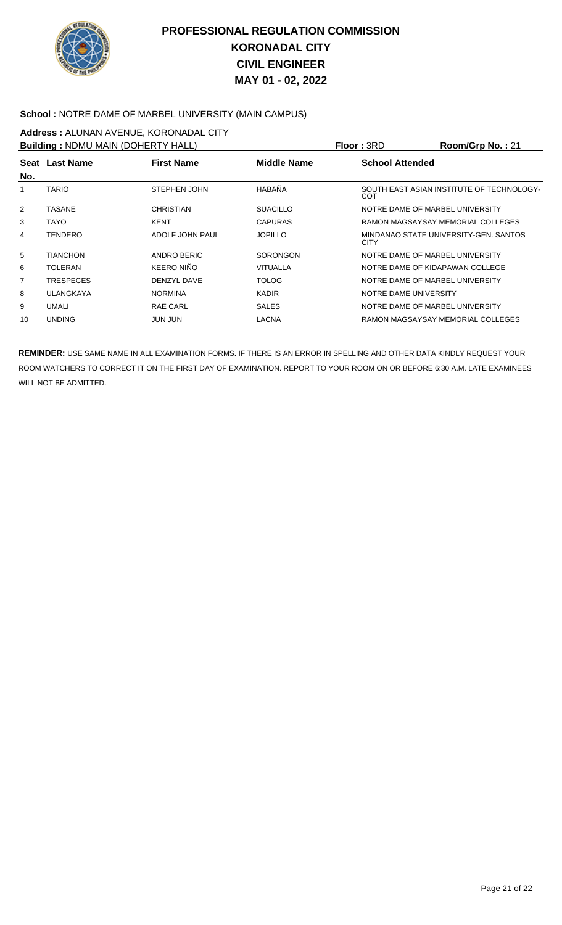

#### **School :** NOTRE DAME OF MARBEL UNIVERSITY (MAIN CAMPUS)

# **Address :** ALUNAN AVENUE, KORONADAL CITY

| <b>Building: NDMU MAIN (DOHERTY HALL)</b> |                  |                     |                    | Floor: 3RD                      | Room/Grp No.: 21                          |
|-------------------------------------------|------------------|---------------------|--------------------|---------------------------------|-------------------------------------------|
|                                           | Seat Last Name   | <b>First Name</b>   | <b>Middle Name</b> | <b>School Attended</b>          |                                           |
| No.                                       |                  |                     |                    |                                 |                                           |
|                                           | <b>TARIO</b>     | <b>STEPHEN JOHN</b> | HABAÑA             | COT                             | SOUTH EAST ASIAN INSTITUTE OF TECHNOLOGY- |
| 2                                         | TASANE           | <b>CHRISTIAN</b>    | <b>SUACILLO</b>    | NOTRE DAME OF MARBEL UNIVERSITY |                                           |
| 3                                         | TAYO             | <b>KENT</b>         | <b>CAPURAS</b>     |                                 | RAMON MAGSAYSAY MEMORIAL COLLEGES         |
| 4                                         | <b>TENDERO</b>   | ADOLF JOHN PAUL     | <b>JOPILLO</b>     | <b>CITY</b>                     | MINDANAO STATE UNIVERSITY-GEN. SANTOS     |
| 5                                         | <b>TIANCHON</b>  | ANDRO BERIC         | <b>SORONGON</b>    | NOTRE DAME OF MARBEL UNIVERSITY |                                           |
| 6                                         | <b>TOLERAN</b>   | KEERO NIÑO          | <b>VITUALLA</b>    | NOTRE DAME OF KIDAPAWAN COLLEGE |                                           |
| $\overline{7}$                            | <b>TRESPECES</b> | DENZYL DAVE         | <b>TOLOG</b>       | NOTRE DAME OF MARBEL UNIVERSITY |                                           |
| 8                                         | ULANGKAYA        | <b>NORMINA</b>      | <b>KADIR</b>       | NOTRE DAME UNIVERSITY           |                                           |
| 9                                         | <b>UMALI</b>     | <b>RAE CARL</b>     | <b>SALES</b>       | NOTRE DAME OF MARBEL UNIVERSITY |                                           |
| 10                                        | <b>UNDING</b>    | JUN JUN             | LACNA              |                                 | RAMON MAGSAYSAY MEMORIAL COLLEGES         |